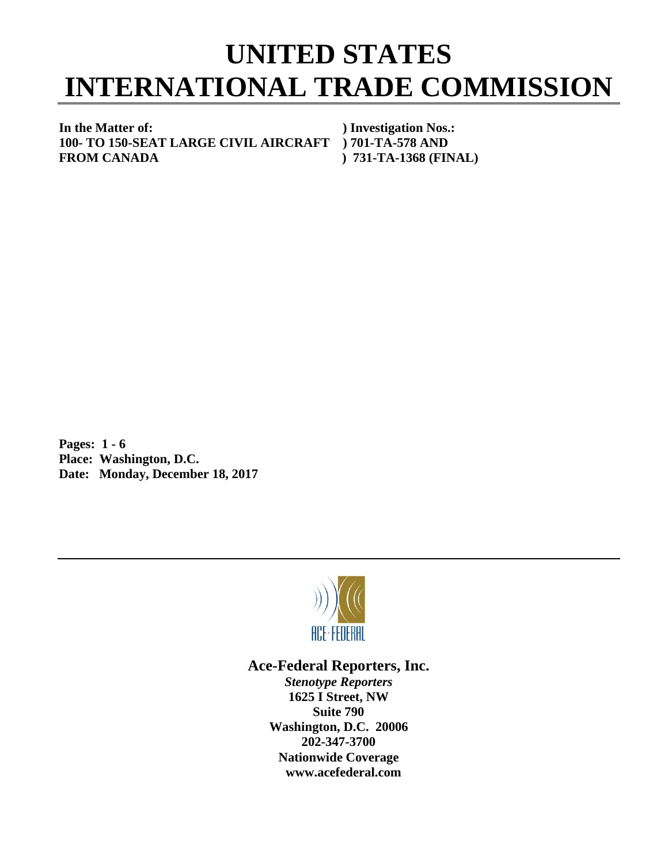## **UNITED STATES INTERNATIONAL TRADE COMMISSION**

**In the Matter of: ) Investigation Nos.: 100- TO 150-SEAT LARGE CIVIL AIRCRAFT ) 701-TA-578 AND FROM CANADA ) 731-TA-1368 (FINAL)**

**Pages: 1 - 6 Place: Washington, D.C. Date: Monday, December 18, 2017**



## **Ace-Federal Reporters, Inc.**

*Stenotype Reporters* **1625 I Street, NW Suite 790 Washington, D.C. 20006 202-347-3700 Nationwide Coverage www.acefederal.com**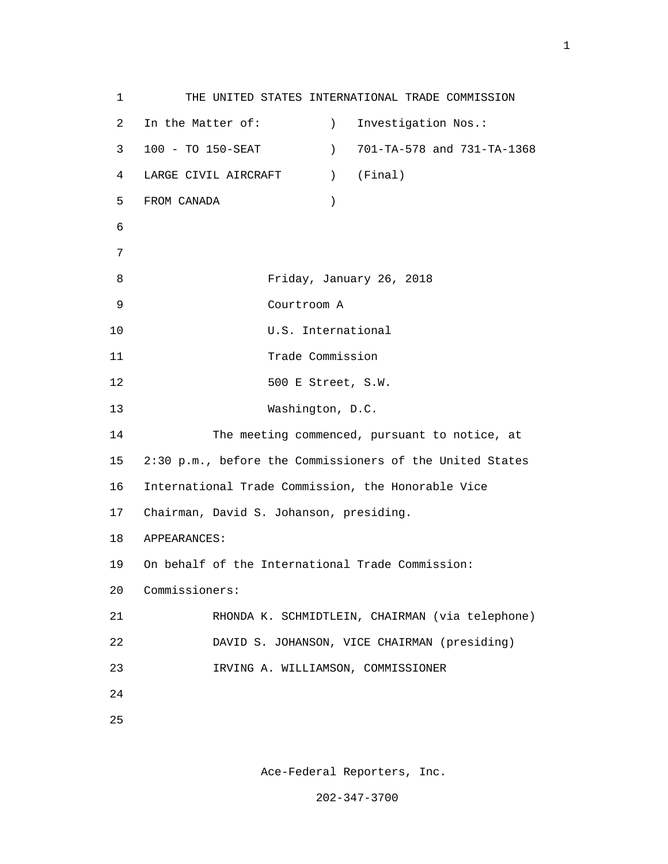1 THE UNITED STATES INTERNATIONAL TRADE COMMISSION 2 In the Matter of: (2008) 1nvestigation Nos.: 3 100 - TO 150-SEAT ) 701-TA-578 and 731-TA-1368 4 LARGE CIVIL AIRCRAFT ) (Final) 5 FROM CANADA ) 6 7 8 Friday, January 26, 2018 9 Courtroom A 10 U.S. International 11 Trade Commission 12 500 E Street, S.W. 13 Washington, D.C. 14 The meeting commenced, pursuant to notice, at 15 2:30 p.m., before the Commissioners of the United States 16 International Trade Commission, the Honorable Vice 17 Chairman, David S. Johanson, presiding. 18 APPEARANCES: 19 On behalf of the International Trade Commission: 20 Commissioners: 21 RHONDA K. SCHMIDTLEIN, CHAIRMAN (via telephone) 22 DAVID S. JOHANSON, VICE CHAIRMAN (presiding) 23 IRVING A. WILLIAMSON, COMMISSIONER 24 <u>25</u>

Ace-Federal Reporters, Inc.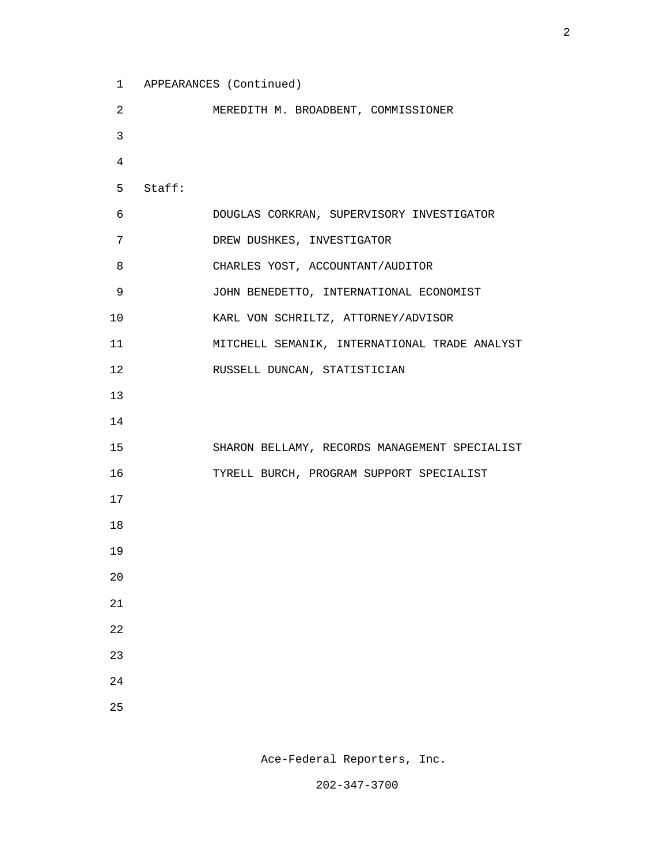```
 1 APPEARANCES (Continued)
```

```
 2 MEREDITH M. BROADBENT, COMMISSIONER
 3
 4
           5 Staff:
           6 DOUGLAS CORKRAN, SUPERVISORY INVESTIGATOR
           7 DREW DUSHKES, INVESTIGATOR
           8 CHARLES YOST, ACCOUNTANT/AUDITOR
           9 JOHN BENEDETTO, INTERNATIONAL ECONOMIST
          10 KARL VON SCHRILTZ, ATTORNEY/ADVISOR
          11 MITCHELL SEMANIK, INTERNATIONAL TRADE ANALYST
          12 RUSSELL DUNCAN, STATISTICIAN
 13
 14
          15 SHARON BELLAMY, RECORDS MANAGEMENT SPECIALIST
          16 TYRELL BURCH, PROGRAM SUPPORT SPECIALIST
 17
          18
          19
 20
 21
          22
          23
 24
<u>25</u>
```
Ace-Federal Reporters, Inc.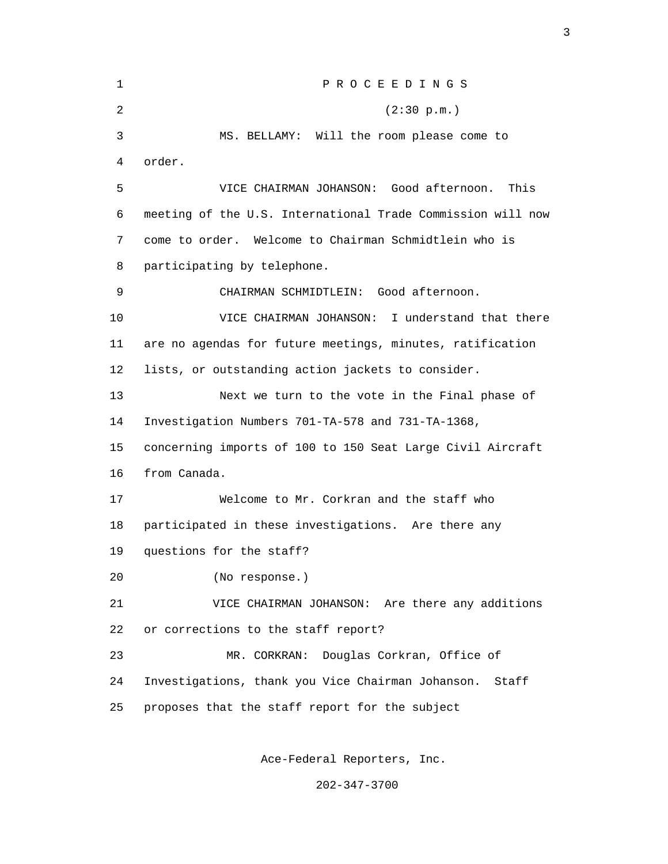1 P R O C E E D I N G S 2 (2:30 p.m.) 3 MS. BELLAMY: Will the room please come to 4 order. 5 VICE CHAIRMAN JOHANSON: Good afternoon. This 6 meeting of the U.S. International Trade Commission will now 7 come to order. Welcome to Chairman Schmidtlein who is 8 participating by telephone. 9 CHAIRMAN SCHMIDTLEIN: Good afternoon. 10 VICE CHAIRMAN JOHANSON: I understand that there 11 are no agendas for future meetings, minutes, ratification 12 lists, or outstanding action jackets to consider. 13 Next we turn to the vote in the Final phase of 14 Investigation Numbers 701-TA-578 and 731-TA-1368, 15 concerning imports of 100 to 150 Seat Large Civil Aircraft 16 from Canada. 17 Welcome to Mr. Corkran and the staff who 18 participated in these investigations. Are there any 19 questions for the staff? 20 (No response.) 21 VICE CHAIRMAN JOHANSON: Are there any additions 22 or corrections to the staff report? 23 MR. CORKRAN: Douglas Corkran, Office of 24 Investigations, thank you Vice Chairman Johanson. Staff 25 proposes that the staff report for the subject

<u>3</u>

Ace-Federal Reporters, Inc.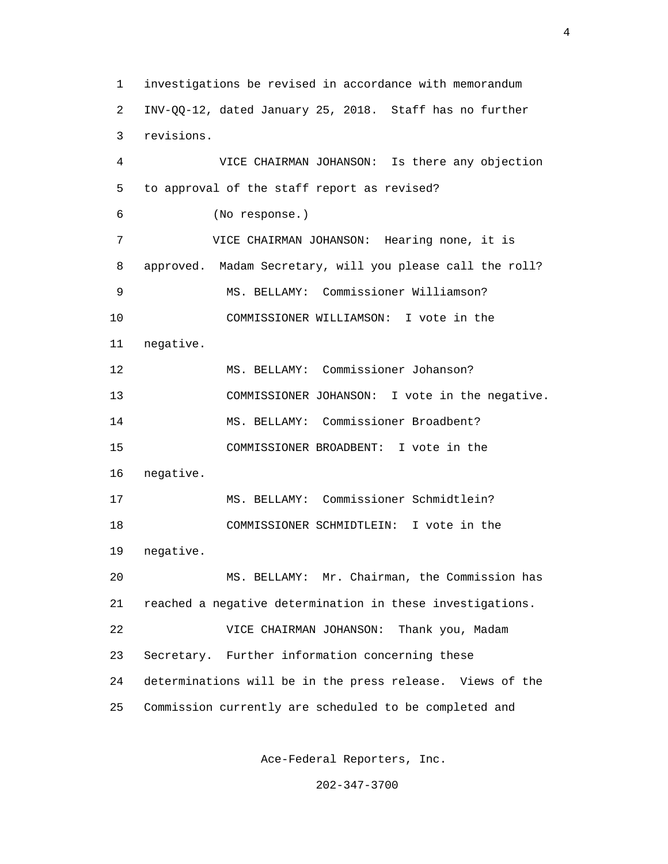1 investigations be revised in accordance with memorandum 2 INV-QQ-12, dated January 25, 2018. Staff has no further 3 revisions. 4 VICE CHAIRMAN JOHANSON: Is there any objection 5 to approval of the staff report as revised? 6 (No response.) 7 VICE CHAIRMAN JOHANSON: Hearing none, it is 8 approved. Madam Secretary, will you please call the roll? 9 MS. BELLAMY: Commissioner Williamson? 10 COMMISSIONER WILLIAMSON: I vote in the 11 negative. 12 MS. BELLAMY: Commissioner Johanson? 13 COMMISSIONER JOHANSON: I vote in the negative. 14 MS. BELLAMY: Commissioner Broadbent? 15 COMMISSIONER BROADBENT: I vote in the 16 negative. 17 MS. BELLAMY: Commissioner Schmidtlein? 18 COMMISSIONER SCHMIDTLEIN: I vote in the 19 negative. 20 MS. BELLAMY: Mr. Chairman, the Commission has 21 reached a negative determination in these investigations. 22 VICE CHAIRMAN JOHANSON: Thank you, Madam 23 Secretary. Further information concerning these 24 determinations will be in the press release. Views of the 25 Commission currently are scheduled to be completed and

Ace-Federal Reporters, Inc.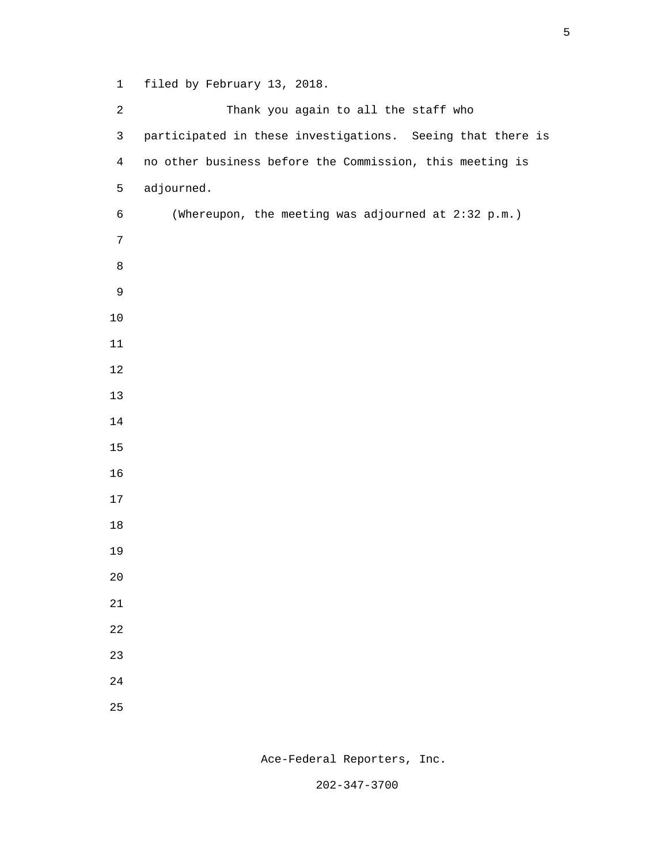1 filed by February 13, 2018.

 2 Thank you again to all the staff who 3 participated in these investigations. Seeing that there is 4 no other business before the Commission, this meeting is 5 adjourned. 6 (Whereupon, the meeting was adjourned at 2:32 p.m.) e a seu a constantin de la Barca de la Barca de la Barca de la Barca de la Barca de la Barca de la Barca de la